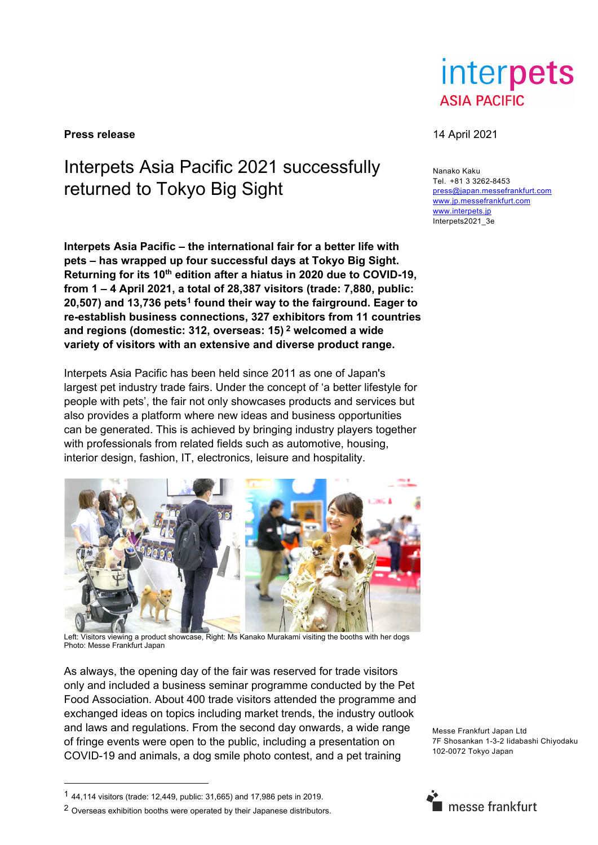**Press release** 14 April 2021

## Interpets Asia Pacific 2021 successfully returned to Tokyo Big Sight

**Interpets Asia Pacific – the international fair for a better life with pets – has wrapped up four successful days at Tokyo Big Sight.**  Returning for its 10<sup>th</sup> edition after a hiatus in 2020 due to COVID-19, **from 1 – 4 April 2021, a total of 28,387 visitors (trade: 7,880, public: 20,507) and 13,736 pets1 found their way to the fairground. Eager to re-establish business connections, 327 exhibitors from 11 countries and regions (domestic: 312, overseas: 15) 2 welcomed a wide variety of visitors with an extensive and diverse product range.** 

Interpets Asia Pacific has been held since 2011 as one of Japan's largest pet industry trade fairs. Under the concept of 'a better lifestyle for people with pets', the fair not only showcases products and services but also provides a platform where new ideas and business opportunities can be generated. This is achieved by bringing industry players together with professionals from related fields such as automotive, housing, interior design, fashion, IT, electronics, leisure and hospitality.



Left: Visitors viewing a product showcase, Right: Ms Kanako Murakami visiting the booths with her dogs Photo: Messe Frankfurt Japan

As always, the opening day of the fair was reserved for trade visitors only and included a business seminar programme conducted by the Pet Food Association. About 400 trade visitors attended the programme and exchanged ideas on topics including market trends, the industry outlook and laws and regulations. From the second day onwards, a wide range of fringe events were open to the public, including a presentation on COVID-19 and animals, a dog smile photo contest, and a pet training

Messe Frankfurt Japan Ltd 7F Shosankan 1-3-2 Iidabashi Chiyodaku 102-0072 Tokyo Japan

-

# interpets **ASIA PACIFIC**

Nanako Kaku Tel. +81 3 3262-8453 press@japan.messefrankfurt.com www.jp.messefrankfurt.com www.interpets.jp Interpets2021\_3e



<sup>1</sup> 44,114 visitors (trade: 12,449, public: 31,665) and 17,986 pets in 2019.

<sup>2</sup> Overseas exhibition booths were operated by their Japanese distributors.